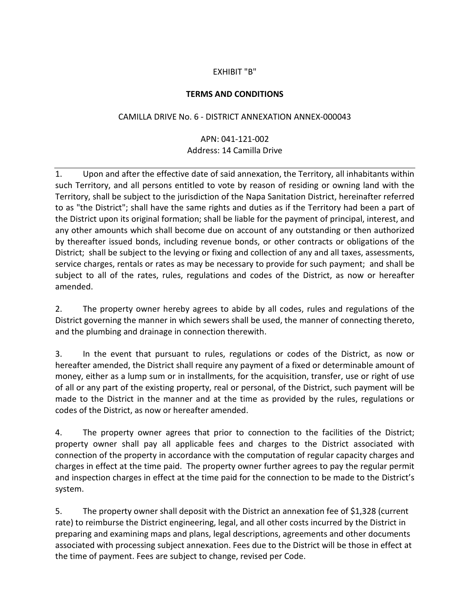## EXHIBIT "B"

## **TERMS AND CONDITIONS**

## CAMILLA DRIVE No. 6 - DISTRICT ANNEXATION ANNEX-000043

## APN: 041-121-002 Address: 14 Camilla Drive

1. Upon and after the effective date of said annexation, the Territory, all inhabitants within such Territory, and all persons entitled to vote by reason of residing or owning land with the Territory, shall be subject to the jurisdiction of the Napa Sanitation District, hereinafter referred to as "the District"; shall have the same rights and duties as if the Territory had been a part of the District upon its original formation; shall be liable for the payment of principal, interest, and any other amounts which shall become due on account of any outstanding or then authorized by thereafter issued bonds, including revenue bonds, or other contracts or obligations of the District; shall be subject to the levying or fixing and collection of any and all taxes, assessments, service charges, rentals or rates as may be necessary to provide for such payment; and shall be subject to all of the rates, rules, regulations and codes of the District, as now or hereafter amended.

2. The property owner hereby agrees to abide by all codes, rules and regulations of the District governing the manner in which sewers shall be used, the manner of connecting thereto, and the plumbing and drainage in connection therewith.

3. In the event that pursuant to rules, regulations or codes of the District, as now or hereafter amended, the District shall require any payment of a fixed or determinable amount of money, either as a lump sum or in installments, for the acquisition, transfer, use or right of use of all or any part of the existing property, real or personal, of the District, such payment will be made to the District in the manner and at the time as provided by the rules, regulations or codes of the District, as now or hereafter amended.

4. The property owner agrees that prior to connection to the facilities of the District; property owner shall pay all applicable fees and charges to the District associated with connection of the property in accordance with the computation of regular capacity charges and charges in effect at the time paid. The property owner further agrees to pay the regular permit and inspection charges in effect at the time paid for the connection to be made to the District's system.

5. The property owner shall deposit with the District an annexation fee of \$1,328 (current rate) to reimburse the District engineering, legal, and all other costs incurred by the District in preparing and examining maps and plans, legal descriptions, agreements and other documents associated with processing subject annexation. Fees due to the District will be those in effect at the time of payment. Fees are subject to change, revised per Code.